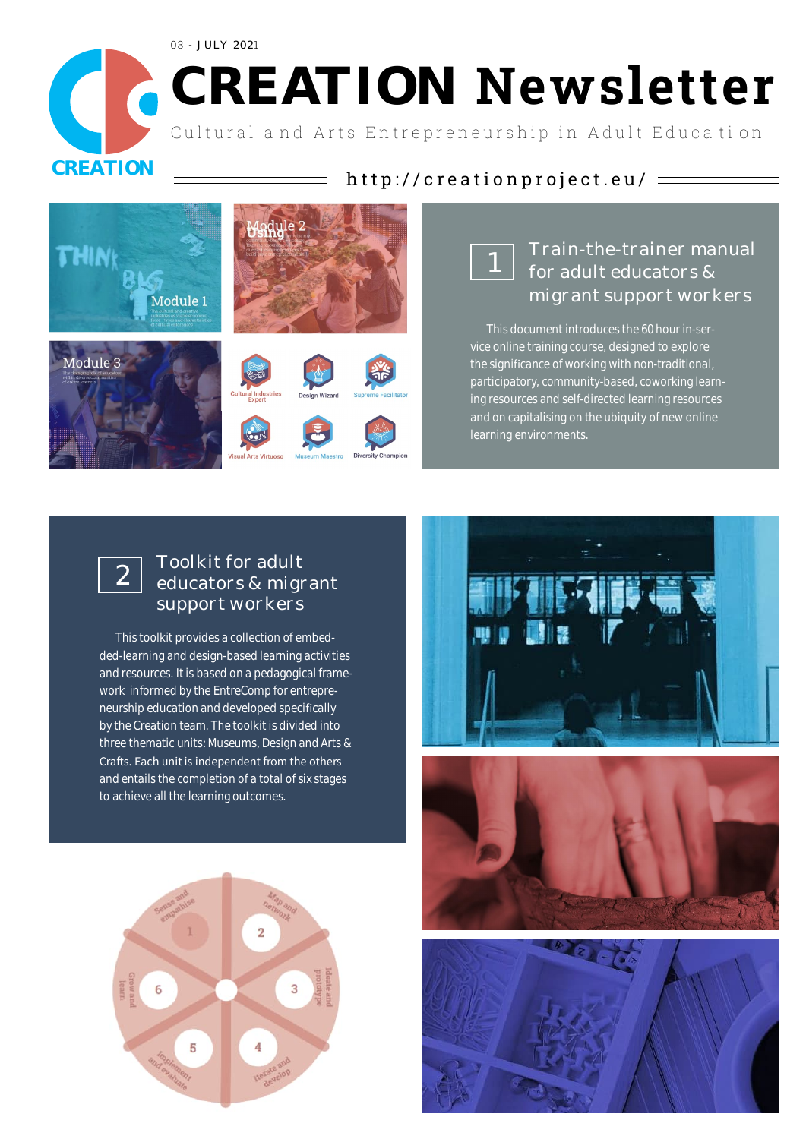03 - JULY 2021

# **CREATION Newsletter**

Cultural and Arts Entrepreneurship in Adult Education







# Train-the-trainer manual for adult educators & migrant support workers

This document introduces the 60 hour in-service online training course, designed to explore the significance of working with non-traditional, participatory, community-based, coworking learning resources and self-directed learning resources and on capitalising on the ubiquity of new online learning environments.



## Toolkit for adult educators & migrant support workers

This toolkit provides a collection of embedded-learning and design-based learning activities and resources. It is based on a pedagogical framework informed by the EntreComp for entrepreneurship education and developed specifically by the Creation team. The toolkit is divided into three thematic units: Museums, Design and Arts & Crafts. Each unit is independent from the others and entails the completion of a total of six stages to achieve all the learning outcomes.